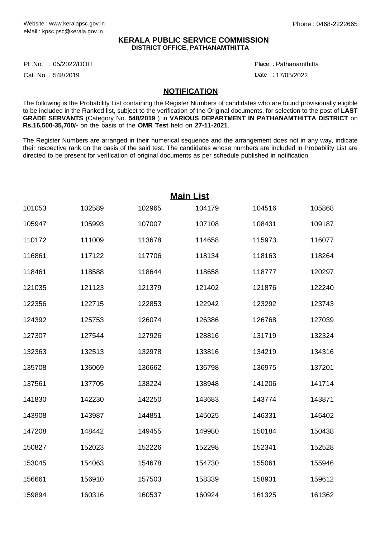## **KERALA PUBLIC SERVICE COMMISSION DISTRICT OFFICE, PATHANAMTHITTA**

05/2022/DOH Place : PL.No.

Cat. No.: 548/2019

Pathanamthitta :

Date : 17/05/2022

## **NOTIFICATION**

The following is the Probability List containing the Register Numbers of candidates who are found provisionally eligible to be included in the Ranked list, subject to the verification of the Original documents, for selection to the post of **LAST GRADE SERVANTS** (Category No. **548/2019** ) in **VARIOUS DEPARTMENT IN PATHANAMTHITTA DISTRICT** on **Rs.16,500-35,700/-** on the basis of the **OMR Test** held on **27-11-2021**.

The Register Numbers are arranged in their numerical sequence and the arrangement does not in any way, indicate their respective rank on the basis of the said test. The candidates whose numbers are included in Probability List are directed to be present for verification of original documents as per schedule published in notification.

| <b>Main List</b> |        |        |        |        |        |  |
|------------------|--------|--------|--------|--------|--------|--|
| 101053           | 102589 | 102965 | 104179 | 104516 | 105868 |  |
| 105947           | 105993 | 107007 | 107108 | 108431 | 109187 |  |
| 110172           | 111009 | 113678 | 114658 | 115973 | 116077 |  |
| 116861           | 117122 | 117706 | 118134 | 118163 | 118264 |  |
| 118461           | 118588 | 118644 | 118658 | 118777 | 120297 |  |
| 121035           | 121123 | 121379 | 121402 | 121876 | 122240 |  |
| 122356           | 122715 | 122853 | 122942 | 123292 | 123743 |  |
| 124392           | 125753 | 126074 | 126386 | 126768 | 127039 |  |
| 127307           | 127544 | 127926 | 128816 | 131719 | 132324 |  |
| 132363           | 132513 | 132978 | 133816 | 134219 | 134316 |  |
| 135708           | 136069 | 136662 | 136798 | 136975 | 137201 |  |
| 137561           | 137705 | 138224 | 138948 | 141206 | 141714 |  |
| 141830           | 142230 | 142250 | 143683 | 143774 | 143871 |  |
| 143908           | 143987 | 144851 | 145025 | 146331 | 146402 |  |
| 147208           | 148442 | 149455 | 149980 | 150184 | 150438 |  |
| 150827           | 152023 | 152226 | 152298 | 152341 | 152528 |  |
| 153045           | 154063 | 154678 | 154730 | 155061 | 155946 |  |
| 156661           | 156910 | 157503 | 158339 | 158931 | 159612 |  |
| 159894           | 160316 | 160537 | 160924 | 161325 | 161362 |  |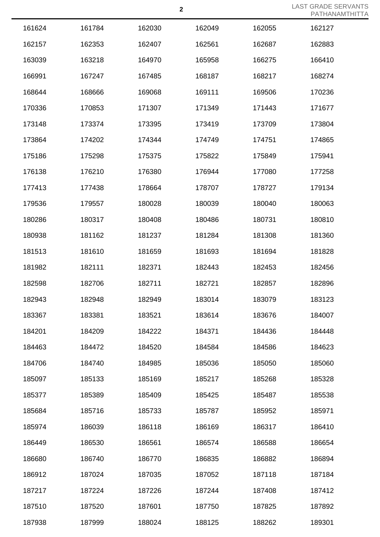LAST GRADE SERVANTS PATHANAMTHITTA

| 161624 | 161784 | 162030 | 162049 | 162055 | 162127 |
|--------|--------|--------|--------|--------|--------|
| 162157 | 162353 | 162407 | 162561 | 162687 | 162883 |
| 163039 | 163218 | 164970 | 165958 | 166275 | 166410 |
| 166991 | 167247 | 167485 | 168187 | 168217 | 168274 |
| 168644 | 168666 | 169068 | 169111 | 169506 | 170236 |
| 170336 | 170853 | 171307 | 171349 | 171443 | 171677 |
| 173148 | 173374 | 173395 | 173419 | 173709 | 173804 |
| 173864 | 174202 | 174344 | 174749 | 174751 | 174865 |
| 175186 | 175298 | 175375 | 175822 | 175849 | 175941 |
| 176138 | 176210 | 176380 | 176944 | 177080 | 177258 |
| 177413 | 177438 | 178664 | 178707 | 178727 | 179134 |
| 179536 | 179557 | 180028 | 180039 | 180040 | 180063 |
| 180286 | 180317 | 180408 | 180486 | 180731 | 180810 |
| 180938 | 181162 | 181237 | 181284 | 181308 | 181360 |
| 181513 | 181610 | 181659 | 181693 | 181694 | 181828 |
| 181982 | 182111 | 182371 | 182443 | 182453 | 182456 |
| 182598 | 182706 | 182711 | 182721 | 182857 | 182896 |
| 182943 | 182948 | 182949 | 183014 | 183079 | 183123 |
| 183367 | 183381 | 183521 | 183614 | 183676 | 184007 |
| 184201 | 184209 | 184222 | 184371 | 184436 | 184448 |
| 184463 | 184472 | 184520 | 184584 | 184586 | 184623 |
| 184706 | 184740 | 184985 | 185036 | 185050 | 185060 |
| 185097 | 185133 | 185169 | 185217 | 185268 | 185328 |
| 185377 | 185389 | 185409 | 185425 | 185487 | 185538 |
| 185684 | 185716 | 185733 | 185787 | 185952 | 185971 |
| 185974 | 186039 | 186118 | 186169 | 186317 | 186410 |
| 186449 | 186530 | 186561 | 186574 | 186588 | 186654 |
| 186680 | 186740 | 186770 | 186835 | 186882 | 186894 |
| 186912 | 187024 | 187035 | 187052 | 187118 | 187184 |
| 187217 | 187224 | 187226 | 187244 | 187408 | 187412 |
| 187510 | 187520 | 187601 | 187750 | 187825 | 187892 |
| 187938 | 187999 | 188024 | 188125 | 188262 | 189301 |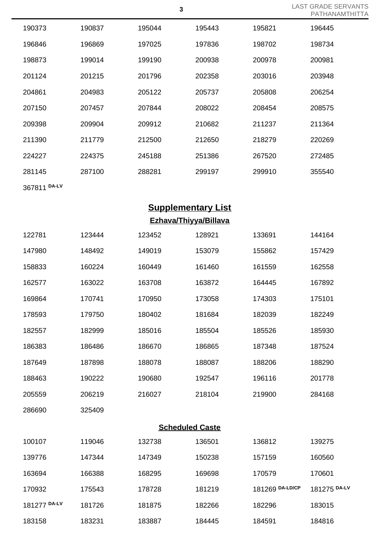| 190373       | 190837 | 195044 | 195443 | 195821 | 196445 |
|--------------|--------|--------|--------|--------|--------|
| 196846       | 196869 | 197025 | 197836 | 198702 | 198734 |
| 198873       | 199014 | 199190 | 200938 | 200978 | 200981 |
| 201124       | 201215 | 201796 | 202358 | 203016 | 203948 |
| 204861       | 204983 | 205122 | 205737 | 205808 | 206254 |
| 207150       | 207457 | 207844 | 208022 | 208454 | 208575 |
| 209398       | 209904 | 209912 | 210682 | 211237 | 211364 |
| 211390       | 211779 | 212500 | 212650 | 218279 | 220269 |
| 224227       | 224375 | 245188 | 251386 | 267520 | 272485 |
| 281145       | 287100 | 288281 | 299197 | 299910 | 355540 |
| 367811 DA-LV |        |        |        |        |        |

## **Supplementary List**

**Ezhava/Thiyya/Billava**

| 122781       | 123444 | 123452 | 128921                 | 133691          | 144164       |
|--------------|--------|--------|------------------------|-----------------|--------------|
| 147980       | 148492 | 149019 | 153079                 | 155862          | 157429       |
| 158833       | 160224 | 160449 | 161460                 | 161559          | 162558       |
| 162577       | 163022 | 163708 | 163872                 | 164445          | 167892       |
| 169864       | 170741 | 170950 | 173058                 | 174303          | 175101       |
| 178593       | 179750 | 180402 | 181684                 | 182039          | 182249       |
| 182557       | 182999 | 185016 | 185504                 | 185526          | 185930       |
| 186383       | 186486 | 186670 | 186865                 | 187348          | 187524       |
| 187649       | 187898 | 188078 | 188087                 | 188206          | 188290       |
| 188463       | 190222 | 190680 | 192547                 | 196116          | 201778       |
| 205559       | 206219 | 216027 | 218104                 | 219900          | 284168       |
| 286690       | 325409 |        |                        |                 |              |
|              |        |        | <b>Scheduled Caste</b> |                 |              |
| 100107       | 119046 | 132738 | 136501                 | 136812          | 139275       |
| 139776       | 147344 | 147349 | 150238                 | 157159          | 160560       |
| 163694       | 166388 | 168295 | 169698                 | 170579          | 170601       |
| 170932       | 175543 | 178728 | 181219                 | 181269 DA-LD/CP | 181275 DA-LV |
| 181277 DA-LV | 181726 | 181875 | 182266                 | 182296          | 183015       |
| 183158       | 183231 | 183887 | 184445                 | 184591          | 184816       |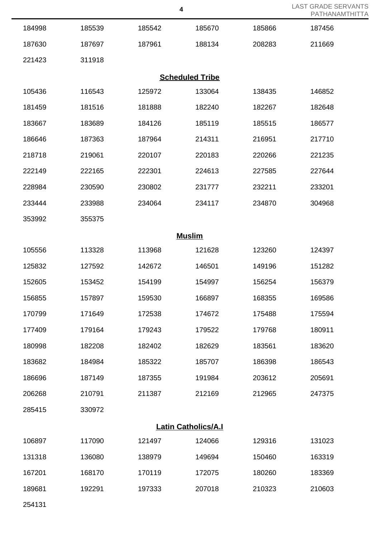| <b>LAST GRADE SERVANTS</b> |
|----------------------------|
| PATHANAMTHITTA             |

|                            |        |        |                        |        | <b>PAI HANAMI</b> |  |
|----------------------------|--------|--------|------------------------|--------|-------------------|--|
| 184998                     | 185539 | 185542 | 185670                 | 185866 | 187456            |  |
| 187630                     | 187697 | 187961 | 188134                 | 208283 | 211669            |  |
| 221423                     | 311918 |        |                        |        |                   |  |
|                            |        |        | <b>Scheduled Tribe</b> |        |                   |  |
| 105436                     | 116543 | 125972 | 133064                 | 138435 | 146852            |  |
| 181459                     | 181516 | 181888 | 182240                 | 182267 | 182648            |  |
| 183667                     | 183689 | 184126 | 185119                 | 185515 | 186577            |  |
| 186646                     | 187363 | 187964 | 214311                 | 216951 | 217710            |  |
| 218718                     | 219061 | 220107 | 220183                 | 220266 | 221235            |  |
| 222149                     | 222165 | 222301 | 224613                 | 227585 | 227644            |  |
| 228984                     | 230590 | 230802 | 231777                 | 232211 | 233201            |  |
| 233444                     | 233988 | 234064 | 234117                 | 234870 | 304968            |  |
| 353992                     | 355375 |        |                        |        |                   |  |
|                            |        |        | <b>Muslim</b>          |        |                   |  |
| 105556                     | 113328 | 113968 | 121628                 | 123260 | 124397            |  |
| 125832                     | 127592 | 142672 | 146501                 | 149196 | 151282            |  |
| 152605                     | 153452 | 154199 | 154997                 | 156254 | 156379            |  |
| 156855                     | 157897 | 159530 | 166897                 | 168355 | 169586            |  |
| 170799                     | 171649 | 172538 | 174672                 | 175488 | 175594            |  |
| 177409                     | 179164 | 179243 | 179522                 | 179768 | 180911            |  |
| 180998                     | 182208 | 182402 | 182629                 | 183561 | 183620            |  |
| 183682                     | 184984 | 185322 | 185707                 | 186398 | 186543            |  |
| 186696                     | 187149 | 187355 | 191984                 | 203612 | 205691            |  |
| 206268                     | 210791 | 211387 | 212169                 | 212965 | 247375            |  |
| 285415                     | 330972 |        |                        |        |                   |  |
| <b>Latin Catholics/A.I</b> |        |        |                        |        |                   |  |
| 106897                     | 117090 | 121497 | 124066                 | 129316 | 131023            |  |
| 131318                     | 136080 | 138979 | 149694                 | 150460 | 163319            |  |
| 167201                     | 168170 | 170119 | 172075                 | 180260 | 183369            |  |
| 189681                     | 192291 | 197333 | 207018                 | 210323 | 210603            |  |
| 254131                     |        |        |                        |        |                   |  |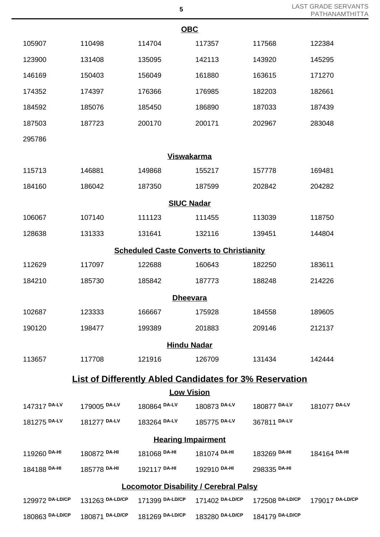| <b>LAST GRADE SERVANTS</b> |
|----------------------------|
| PATHANAMTHITTA             |

|                                                                |                 | <b>OBC</b>                |                 |                 |                 |  |  |
|----------------------------------------------------------------|-----------------|---------------------------|-----------------|-----------------|-----------------|--|--|
| 105907                                                         | 110498          | 114704                    | 117357          | 117568          | 122384          |  |  |
| 123900                                                         | 131408          | 135095                    | 142113          | 143920          | 145295          |  |  |
| 146169                                                         | 150403          | 156049                    | 161880          | 163615          | 171270          |  |  |
| 174352                                                         | 174397          | 176366                    | 176985          | 182203          | 182661          |  |  |
| 184592                                                         | 185076          | 185450                    | 186890          | 187033          | 187439          |  |  |
| 187503                                                         | 187723          | 200170                    | 200171          | 202967          | 283048          |  |  |
| 295786                                                         |                 |                           |                 |                 |                 |  |  |
|                                                                |                 | <b>Viswakarma</b>         |                 |                 |                 |  |  |
| 115713                                                         | 146881          | 149868                    | 155217          | 157778          | 169481          |  |  |
| 184160                                                         | 186042          | 187350                    | 187599          | 202842          | 204282          |  |  |
|                                                                |                 | <b>SIUC Nadar</b>         |                 |                 |                 |  |  |
| 106067                                                         | 107140          | 111123                    | 111455          | 113039          | 118750          |  |  |
| 128638                                                         | 131333          | 131641                    | 132116          | 139451          | 144804          |  |  |
| <b>Scheduled Caste Converts to Christianity</b>                |                 |                           |                 |                 |                 |  |  |
| 112629                                                         | 117097          | 122688                    | 160643          | 182250          | 183611          |  |  |
| 184210                                                         | 185730          | 185842                    | 187773          | 188248          | 214226          |  |  |
|                                                                |                 | <b>Dheevara</b>           |                 |                 |                 |  |  |
| 102687                                                         | 123333          | 166667                    | 175928          | 184558          | 189605          |  |  |
| 190120                                                         | 198477          | 199389                    | 201883          | 209146          | 212137          |  |  |
| <b>Hindu Nadar</b>                                             |                 |                           |                 |                 |                 |  |  |
| 113657                                                         | 117708          | 121916                    | 126709          | 131434          | 142444          |  |  |
| <b>List of Differently Abled Candidates for 3% Reservation</b> |                 |                           |                 |                 |                 |  |  |
|                                                                |                 | <b>Low Vision</b>         |                 |                 |                 |  |  |
| 147317 DA-LV                                                   | 179005 DA-LV    | 180864 DA-LV              | 180873 DA-LV    | 180877 DA-LV    | 181077 DA-LV    |  |  |
| 181275 DA-LV                                                   | 181277 DA-LV    | 183264 DA-LV              | 185775 DA-LV    | 367811 DA-LV    |                 |  |  |
|                                                                |                 | <b>Hearing Impairment</b> |                 |                 |                 |  |  |
| 119260 DA-HI                                                   | 180872 DA-HI    | 181068 DA-HI              | 181074 DA-HI    | 183269 DA-HI    | 184164 DA-HI    |  |  |
| 184188 DA-HI                                                   | 185778 DA-HI    | 192117 DA-HI              | 192910 DA-HI    | 298335 DA-HI    |                 |  |  |
| <b>Locomotor Disability / Cerebral Palsy</b>                   |                 |                           |                 |                 |                 |  |  |
| 129972 DA-LD/CP                                                | 131263 DA-LD/CP | 171399 DA-LD/CP           | 171402 DA-LD/CP | 172508 DA-LD/CP | 179017 DA-LD/CP |  |  |
| 180863 DA-LD/CP                                                | 180871 DA-LD/CP | 181269 DA-LD/CP           | 183280 DA-LD/CP | 184179 DA-LD/CP |                 |  |  |